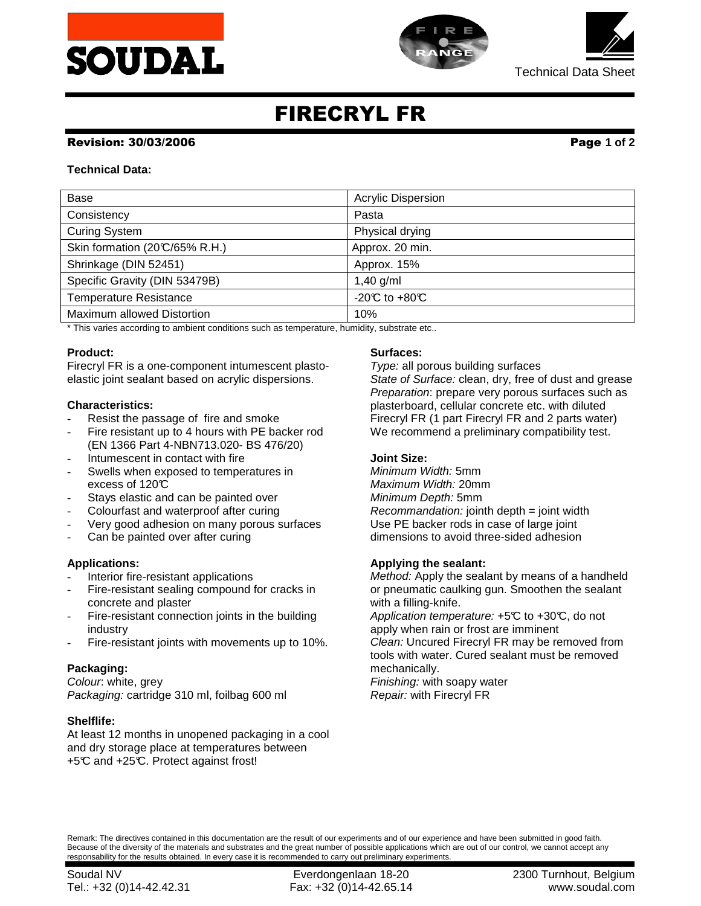



Technical Data Sheet

# FIRECRYL FR

#### Revision: 30/03/2006 Page **1 of 2**

## **Technical Data:**

| Base                           | <b>Acrylic Dispersion</b>          |  |
|--------------------------------|------------------------------------|--|
| Consistency                    | Pasta                              |  |
| <b>Curing System</b>           | Physical drying                    |  |
| Skin formation (20°C/65% R.H.) | Approx. 20 min.                    |  |
| Shrinkage (DIN 52451)          | Approx. 15%                        |  |
| Specific Gravity (DIN 53479B)  | 1,40 $g/ml$                        |  |
| <b>Temperature Resistance</b>  | -20 $\mathbb C$ to +80 $\mathbb C$ |  |
| Maximum allowed Distortion     | 10%                                |  |

\* This varies according to ambient conditions such as temperature, humidity, substrate etc..

# **Product:**

Firecryl FR is a one-component intumescent plastoelastic joint sealant based on acrylic dispersions.

# **Characteristics:**

- Resist the passage of fire and smoke
- Fire resistant up to 4 hours with PE backer rod (EN 1366 Part 4-NBN713.020- BS 476/20)
- Intumescent in contact with fire
- Swells when exposed to temperatures in excess of 120°C
- Stays elastic and can be painted over
- Colourfast and waterproof after curing
- Very good adhesion on many porous surfaces
- Can be painted over after curing

# **Applications:**

- Interior fire-resistant applications
- Fire-resistant sealing compound for cracks in concrete and plaster
- Fire-resistant connection joints in the building industry
- Fire-resistant joints with movements up to 10%.

#### **Packaging:**

Colour: white, grey Packaging: cartridge 310 ml, foilbag 600 ml

#### **Shelflife:**

At least 12 months in unopened packaging in a cool and dry storage place at temperatures between +5°C and +25°C. Protect against frost!

# **Surfaces:**

Type: all porous building surfaces State of Surface: clean, dry, free of dust and grease Preparation: prepare very porous surfaces such as plasterboard, cellular concrete etc. with diluted Firecryl FR (1 part Firecryl FR and 2 parts water) We recommend a preliminary compatibility test.

## **Joint Size:**

Minimum Width: 5mm Maximum Width: 20mm Minimum Depth: 5mm  $Recommendation:$  jointh depth  $=$  joint width Use PE backer rods in case of large joint dimensions to avoid three-sided adhesion

#### **Applying the sealant:**

Method: Apply the sealant by means of a handheld or pneumatic caulking gun. Smoothen the sealant with a filling-knife.

Application temperature:  $+5\textdegree C$  to  $+30\textdegree C$ , do not apply when rain or frost are imminent Clean: Uncured Firecryl FR may be removed from tools with water. Cured sealant must be removed mechanically.

Finishing: with soapy water Repair: with Firecryl FR

Remark: The directives contained in this documentation are the result of our experiments and of our experience and have been submitted in good faith. Because of the diversity of the materials and substrates and the great number of possible applications which are out of our control, we cannot accept any responsability for the results obtained. In every case it is recommended to carry out preliminary experiments.

Tel.: +32 (0)14-42.42.31 Fax: +32 (0)14-42.65.14 www.soudal.com